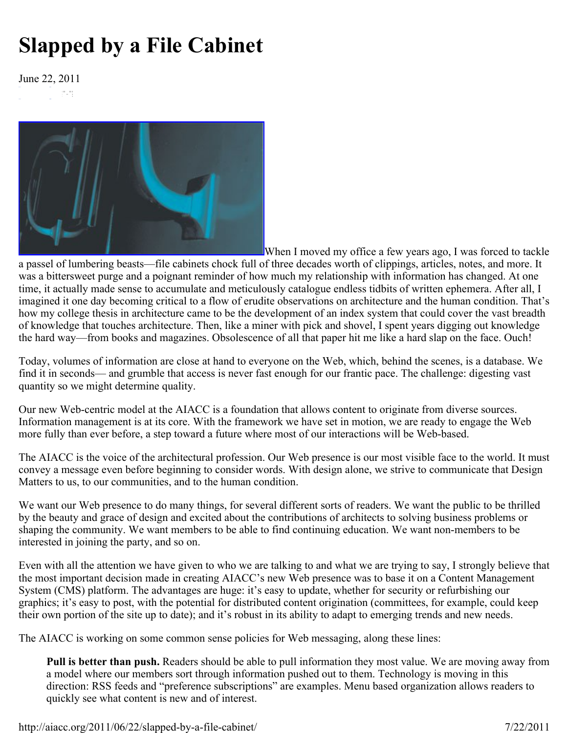## **Slapped by a File Cabinet**

June 22, 2011ming.



When I moved my office a few years ago, I was forced to tackle a passel of lumbering beasts—file cabinets chock full of three decades worth of clippings, articles, notes, and more. It was a bittersweet purge and a poignant reminder of how much my relationship with information has changed. At one time, it actually made sense to accumulate and meticulously catalogue endless tidbits of written ephemera. After all, I imagined it one day becoming critical to a flow of erudite observations on architecture and the human condition. That's how my college thesis in architecture came to be the development of an index system that could cover the vast breadth of knowledge that touches architecture. Then, like a miner with pick and shovel, I spent years digging out knowledge the hard way—from books and magazines. Obsolescence of all that paper hit me like a hard slap on the face. Ouch!

Today, volumes of information are close at hand to everyone on the Web, which, behind the scenes, is a database. We find it in seconds— and grumble that access is never fast enough for our frantic pace. The challenge: digesting vast quantity so we might determine quality.

Our new Web-centric model at the AIACC is a foundation that allows content to originate from diverse sources. Information management is at its core. With the framework we have set in motion, we are ready to engage the Web more fully than ever before, a step toward a future where most of our interactions will be Web-based.

The AIACC is the voice of the architectural profession. Our Web presence is our most visible face to the world. It must convey a message even before beginning to consider words. With design alone, we strive to communicate that Design Matters to us, to our communities, and to the human condition.

We want our Web presence to do many things, for several different sorts of readers. We want the public to be thrilled by the beauty and grace of design and excited about the contributions of architects to solving business problems or shaping the community. We want members to be able to find continuing education. We want non-members to be interested in joining the party, and so on.

Even with all the attention we have given to who we are talking to and what we are trying to say, I strongly believe that the most important decision made in creating AIACC's new Web presence was to base it on a Content Management System (CMS) platform. The advantages are huge: it's easy to update, whether for security or refurbishing our graphics; it's easy to post, with the potential for distributed content origination (committees, for example, could keep their own portion of the site up to date); and it's robust in its ability to adapt to emerging trends and new needs.

The AIACC is working on some common sense policies for Web messaging, along these lines:

**Pull is better than push.** Readers should be able to pull information they most value. We are moving away from a model where our members sort through information pushed out to them. Technology is moving in this direction: RSS feeds and "preference subscriptions" are examples. Menu based organization allows readers to quickly see what content is new and of interest.